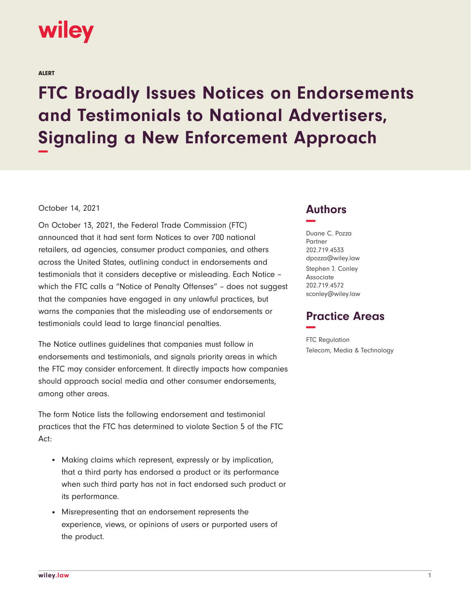

ALERT

## **FTC Broadly Issues Notices on Endorsements and Testimonials to National Advertisers, Signaling a New Enforcement Approach −**

## October 14, 2021

On October 13, 2021, the Federal Trade Commission (FTC) announced that it had sent form Notices to over 700 national retailers, ad agencies, consumer product companies, and others across the United States, outlining conduct in endorsements and testimonials that it considers deceptive or misleading. Each Notice – which the FTC calls a "Notice of Penalty Offenses" – does not suggest that the companies have engaged in any unlawful practices, but warns the companies that the misleading use of endorsements or testimonials could lead to large financial penalties.

The Notice outlines guidelines that companies must follow in endorsements and testimonials, and signals priority areas in which the FTC may consider enforcement. It directly impacts how companies should approach social media and other consumer endorsements, among other areas.

The form Notice lists the following endorsement and testimonial practices that the FTC has determined to violate Section 5 of the FTC Act:

- Making claims which represent, expressly or by implication, that a third party has endorsed a product or its performance when such third party has not in fact endorsed such product or its performance.
- Misrepresenting that an endorsement represents the experience, views, or opinions of users or purported users of the product.

## **Authors −**

Duane C. Pozza Partner 202.719.4533 dpozza@wiley.law Stephen J. Conley Associate 202.719.4572 sconley@wiley.law

## **Practice Areas −**

FTC Regulation Telecom, Media & Technology